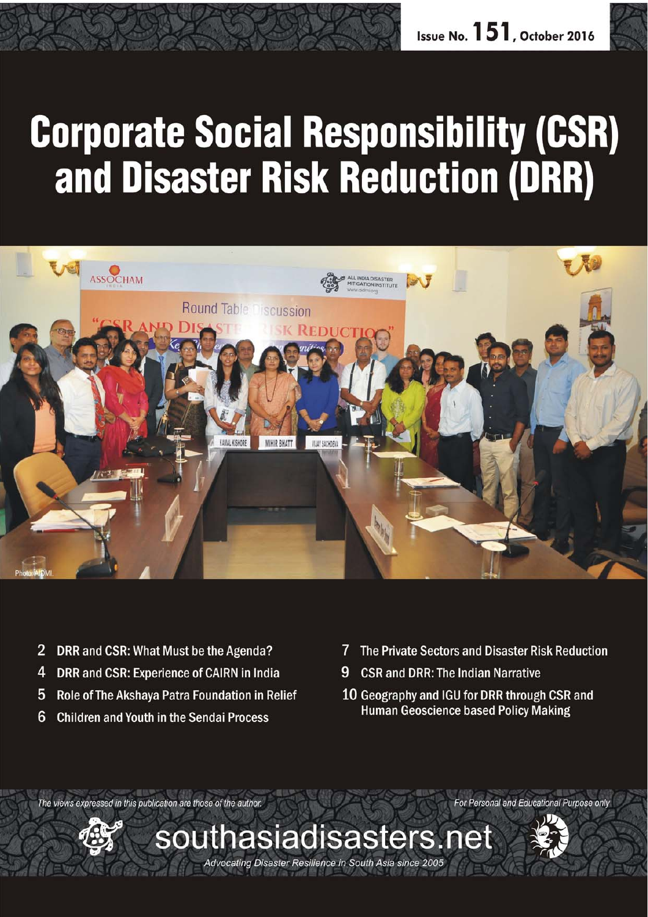# **Corporate Social Responsibility (CSR)** and Disaster Risk Reduction (DRR)



- $\overline{2}$ DRR and CSR: What Must be the Agenda?
- 4 DRR and CSR: Experience of CAIRN in India
- 5 Role of The Akshaya Patra Foundation in Relief
- 6 **Children and Youth in the Sendai Process**
- 7 The Private Sectors and Disaster Risk Reduction
- 9 **CSR and DRR: The Indian Narrative**
- 10 Geography and IGU for DRR through CSR and **Human Geoscience based Policy Making**

The views expressed in this publication are those of the author.



 $s$ outhasiadisasters.net

Advocating Disaster Resilience in South Asia since 2005



For Personal and Educational Purpose only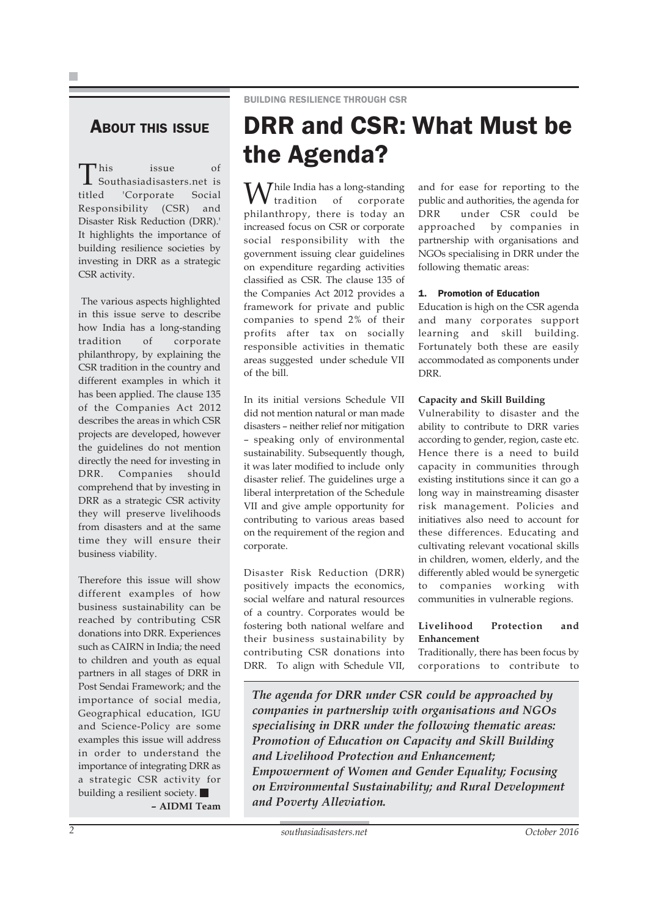#### **ABOUT THIS ISSUE**

This issue of Southasiadisasters.net is titled 'Corporate Social Responsibility (CSR) and Disaster Risk Reduction (DRR).' It highlights the importance of building resilience societies by investing in DRR as a strategic CSR activity.

 The various aspects highlighted in this issue serve to describe how India has a long-standing tradition of corporate philanthropy, by explaining the CSR tradition in the country and different examples in which it has been applied. The clause 135 of the Companies Act 2012 describes the areas in which CSR projects are developed, however the guidelines do not mention directly the need for investing in DRR. Companies should comprehend that by investing in DRR as a strategic CSR activity they will preserve livelihoods from disasters and at the same time they will ensure their business viability.

Therefore this issue will show different examples of how business sustainability can be reached by contributing CSR donations into DRR. Experiences such as CAIRN in India; the need to children and youth as equal partners in all stages of DRR in Post Sendai Framework; and the importance of social media, Geographical education, IGU and Science-Policy are some examples this issue will address in order to understand the importance of integrating DRR as a strategic CSR activity for building a resilient society. **– AIDMI Team**

### DRR and CSR: What Must be the Agenda?

 $\mathbf{W}$ hile India has a long-standing tradition of corporate philanthropy, there is today an increased focus on CSR or corporate social responsibility with the government issuing clear guidelines on expenditure regarding activities classified as CSR. The clause 135 of the Companies Act 2012 provides a framework for private and public companies to spend 2% of their profits after tax on socially responsible activities in thematic areas suggested under schedule VII of the bill.

In its initial versions Schedule VII did not mention natural or man made disasters – neither relief nor mitigation – speaking only of environmental sustainability. Subsequently though, it was later modified to include only disaster relief. The guidelines urge a liberal interpretation of the Schedule VII and give ample opportunity for contributing to various areas based on the requirement of the region and corporate.

Disaster Risk Reduction (DRR) positively impacts the economics, social welfare and natural resources of a country. Corporates would be fostering both national welfare and their business sustainability by contributing CSR donations into DRR. To align with Schedule VII, and for ease for reporting to the public and authorities, the agenda for DRR under CSR could be approached by companies in partnership with organisations and NGOs specialising in DRR under the following thematic areas:

#### 1. Promotion of Education

Education is high on the CSR agenda and many corporates support learning and skill building. Fortunately both these are easily accommodated as components under DRR.

#### **Capacity and Skill Building**

Vulnerability to disaster and the ability to contribute to DRR varies according to gender, region, caste etc. Hence there is a need to build capacity in communities through existing institutions since it can go a long way in mainstreaming disaster risk management. Policies and initiatives also need to account for these differences. Educating and cultivating relevant vocational skills in children, women, elderly, and the differently abled would be synergetic to companies working with communities in vulnerable regions.

#### **Livelihood Protection and Enhancement**

Traditionally, there has been focus by corporations to contribute to

*The agenda for DRR under CSR could be approached by companies in partnership with organisations and NGOs specialising in DRR under the following thematic areas: Promotion of Education on Capacity and Skill Building and Livelihood Protection and Enhancement; Empowerment of Women and Gender Equality; Focusing on Environmental Sustainability; and Rural Development and Poverty Alleviation.*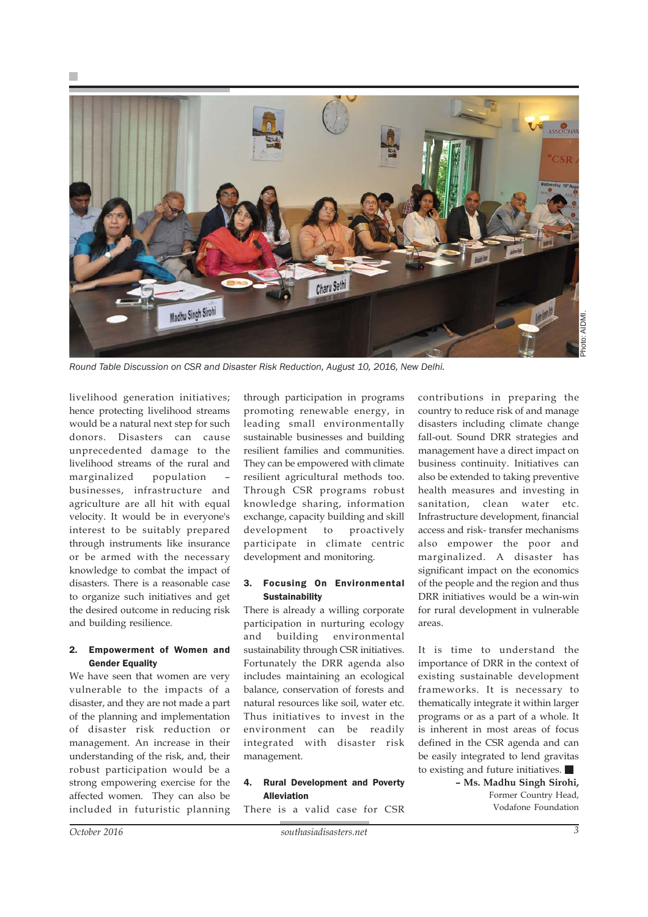



*Round Table Discussion on CSR and Disaster Risk Reduction, August 10, 2016, New Delhi.*

livelihood generation initiatives; hence protecting livelihood streams would be a natural next step for such donors. Disasters can cause unprecedented damage to the livelihood streams of the rural and marginalized population – businesses, infrastructure and agriculture are all hit with equal velocity. It would be in everyone's interest to be suitably prepared through instruments like insurance or be armed with the necessary knowledge to combat the impact of disasters. There is a reasonable case to organize such initiatives and get the desired outcome in reducing risk and building resilience.

#### 2. Empowerment of Women and **Gender Equality**

We have seen that women are very vulnerable to the impacts of a disaster, and they are not made a part of the planning and implementation of disaster risk reduction or management. An increase in their understanding of the risk, and, their robust participation would be a strong empowering exercise for the affected women. They can also be included in futuristic planning through participation in programs promoting renewable energy, in leading small environmentally sustainable businesses and building resilient families and communities. They can be empowered with climate resilient agricultural methods too. Through CSR programs robust knowledge sharing, information exchange, capacity building and skill development to proactively participate in climate centric development and monitoring.

#### 3. Focusing On Environmental **Sustainability**

There is already a willing corporate participation in nurturing ecology and building environmental sustainability through CSR initiatives. Fortunately the DRR agenda also includes maintaining an ecological balance, conservation of forests and natural resources like soil, water etc. Thus initiatives to invest in the environment can be readily integrated with disaster risk management.

#### 4. Rural Development and Poverty **Alleviation**

There is a valid case for CSR

contributions in preparing the country to reduce risk of and manage disasters including climate change fall-out. Sound DRR strategies and management have a direct impact on business continuity. Initiatives can also be extended to taking preventive health measures and investing in sanitation, clean water etc. Infrastructure development, financial access and risk- transfer mechanisms also empower the poor and marginalized. A disaster has significant impact on the economics of the people and the region and thus DRR initiatives would be a win-win for rural development in vulnerable areas.

It is time to understand the importance of DRR in the context of existing sustainable development frameworks. It is necessary to thematically integrate it within larger programs or as a part of a whole. It is inherent in most areas of focus defined in the CSR agenda and can be easily integrated to lend gravitas to existing and future initiatives.

> **– Ms. Madhu Singh Sirohi,** Former Country Head, Vodafone Foundation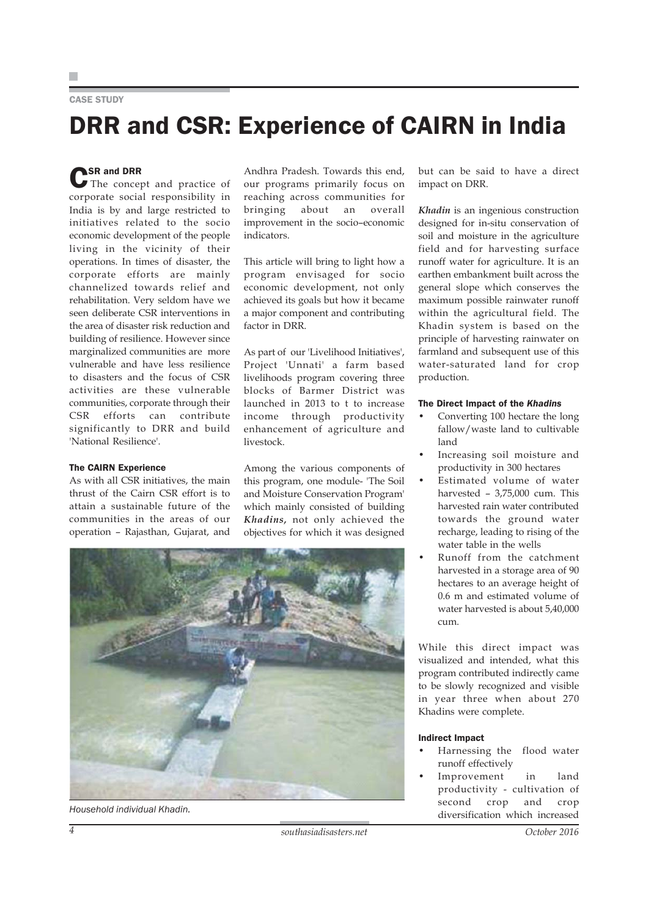#### CASE STUDY

# DRR and CSR: Experience of CAIRN in India

**CSR and DRR**<br>
The concept and practice of corporate social responsibility in India is by and large restricted to initiatives related to the socio economic development of the people living in the vicinity of their operations. In times of disaster, the corporate efforts are mainly channelized towards relief and rehabilitation. Very seldom have we seen deliberate CSR interventions in the area of disaster risk reduction and building of resilience. However since marginalized communities are more vulnerable and have less resilience to disasters and the focus of CSR activities are these vulnerable communities, corporate through their CSR efforts can contribute significantly to DRR and build 'National Resilience'.

#### The CAIRN Experience

As with all CSR initiatives, the main thrust of the Cairn CSR effort is to attain a sustainable future of the communities in the areas of our operation – Rajasthan, Gujarat, and

Andhra Pradesh. Towards this end, our programs primarily focus on reaching across communities for bringing about an overall improvement in the socio–economic indicators.

This article will bring to light how a program envisaged for socio economic development, not only achieved its goals but how it became a major component and contributing factor in DRR.

As part of our 'Livelihood Initiatives', Project 'Unnati' a farm based livelihoods program covering three blocks of Barmer District was launched in 2013 to t to increase income through productivity enhancement of agriculture and livestock.

Among the various components of this program, one module- 'The Soil and Moisture Conservation Program' which mainly consisted of building *Khadins,* not only achieved the objectives for which it was designed



but can be said to have a direct impact on DRR.

*Khadin* is an ingenious construction designed for in-situ conservation of soil and moisture in the agriculture field and for harvesting surface runoff water for agriculture. It is an earthen embankment built across the general slope which conserves the maximum possible rainwater runoff within the agricultural field. The Khadin system is based on the principle of harvesting rainwater on farmland and subsequent use of this water-saturated land for crop production.

#### The Direct Impact of the *Khadins*

- Converting 100 hectare the long fallow/waste land to cultivable land
- Increasing soil moisture and productivity in 300 hectares
- Estimated volume of water harvested – 3,75,000 cum. This harvested rain water contributed towards the ground water recharge, leading to rising of the water table in the wells
- Runoff from the catchment harvested in a storage area of 90 hectares to an average height of 0.6 m and estimated volume of water harvested is about 5,40,000 cum.

While this direct impact was visualized and intended, what this program contributed indirectly came to be slowly recognized and visible in year three when about 270 Khadins were complete.

#### Indirect Impact

- Harnessing the flood water runoff effectively
- Improvement in land productivity - cultivation of second crop and crop diversification which increased *Household individual Khadin.*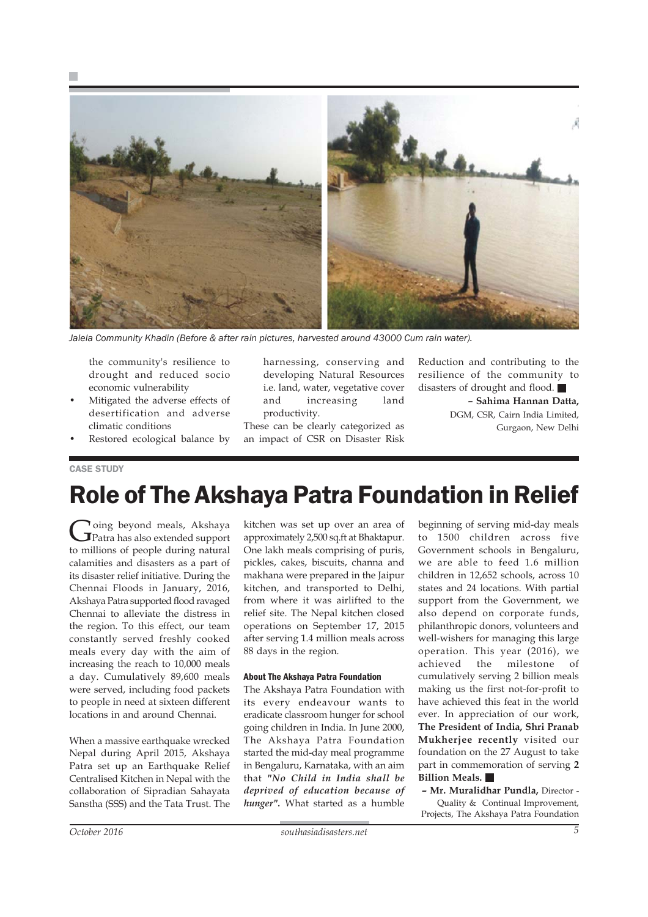

*Jalela Community Khadin (Before & after rain pictures, harvested around 43000 Cum rain water).*

the community's resilience to drought and reduced socio economic vulnerability

- Mitigated the adverse effects of desertification and adverse climatic conditions
- Restored ecological balance by

harnessing, conserving and developing Natural Resources i.e. land, water, vegetative cover and increasing land productivity.

These can be clearly categorized as an impact of CSR on Disaster Risk Reduction and contributing to the resilience of the community to disasters of drought and flood. **– Sahima Hannan Datta,**

DGM, CSR, Cairn India Limited, Gurgaon, New Delhi

#### CASE STUDY

# Role of The Akshaya Patra Foundation in Relief

Going beyond meals, Akshaya<br>Patra has also extended support to millions of people during natural calamities and disasters as a part of its disaster relief initiative. During the Chennai Floods in January, 2016, Akshaya Patra supported flood ravaged Chennai to alleviate the distress in the region. To this effect, our team constantly served freshly cooked meals every day with the aim of increasing the reach to 10,000 meals a day. Cumulatively 89,600 meals were served, including food packets to people in need at sixteen different locations in and around Chennai.

When a massive earthquake wrecked Nepal during April 2015, Akshaya Patra set up an Earthquake Relief Centralised Kitchen in Nepal with the collaboration of Sipradian Sahayata Sanstha (SSS) and the Tata Trust. The kitchen was set up over an area of approximately 2,500 sq.ft at Bhaktapur. One lakh meals comprising of puris, pickles, cakes, biscuits, channa and makhana were prepared in the Jaipur kitchen, and transported to Delhi, from where it was airlifted to the relief site. The Nepal kitchen closed operations on September 17, 2015 after serving 1.4 million meals across 88 days in the region.

#### About The Akshaya Patra Foundation

The Akshaya Patra Foundation with its every endeavour wants to eradicate classroom hunger for school going children in India. In June 2000, The Akshaya Patra Foundation started the mid-day meal programme in Bengaluru, Karnataka, with an aim that *"No Child in India shall be deprived of education because of hunger".* What started as a humble

beginning of serving mid-day meals to 1500 children across five Government schools in Bengaluru, we are able to feed 1.6 million children in 12,652 schools, across 10 states and 24 locations. With partial support from the Government, we also depend on corporate funds, philanthropic donors, volunteers and well-wishers for managing this large operation. This year (2016), we achieved the milestone of cumulatively serving 2 billion meals making us the first not-for-profit to have achieved this feat in the world ever. In appreciation of our work, **The President of India, Shri Pranab Mukherjee recently** visited our foundation on the 27 August to take part in commemoration of serving **2 Billion Meals.** 

**– Mr. Muralidhar Pundla,** Director - Quality & Continual Improvement, Projects, The Akshaya Patra Foundation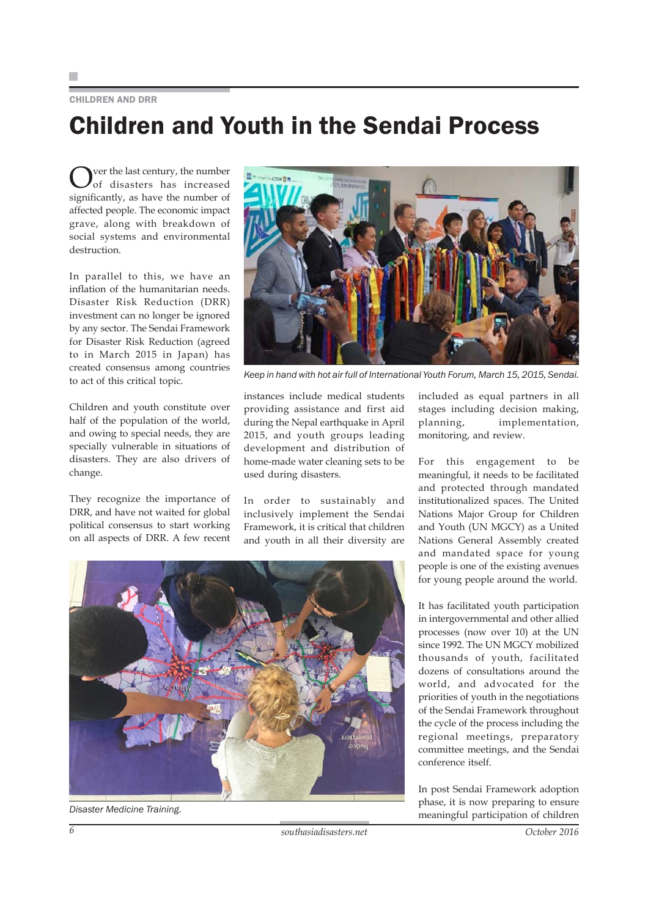#### CHILDREN AND DRR

# Children and Youth in the Sendai Process

Over the last century, the number<br>of disasters has increased significantly, as have the number of affected people. The economic impact grave, along with breakdown of social systems and environmental destruction.

In parallel to this, we have an inflation of the humanitarian needs. Disaster Risk Reduction (DRR) investment can no longer be ignored by any sector. The Sendai Framework for Disaster Risk Reduction (agreed to in March 2015 in Japan) has created consensus among countries to act of this critical topic.

Children and youth constitute over half of the population of the world, and owing to special needs, they are specially vulnerable in situations of disasters. They are also drivers of change.

They recognize the importance of DRR, and have not waited for global political consensus to start working on all aspects of DRR. A few recent



*Keep in hand with hot air full of International Youth Forum, March 15, 2015, Sendai.*

instances include medical students providing assistance and first aid during the Nepal earthquake in April 2015, and youth groups leading development and distribution of home-made water cleaning sets to be used during disasters.

In order to sustainably and inclusively implement the Sendai Framework, it is critical that children and youth in all their diversity are

included as equal partners in all stages including decision making, planning, implementation, monitoring, and review.

For this engagement to be meaningful, it needs to be facilitated and protected through mandated institutionalized spaces. The United Nations Major Group for Children and Youth (UN MGCY) as a United Nations General Assembly created and mandated space for young people is one of the existing avenues for young people around the world.

It has facilitated youth participation in intergovernmental and other allied processes (now over 10) at the UN since 1992. The UN MGCY mobilized thousands of youth, facilitated dozens of consultations around the world, and advocated for the priorities of youth in the negotiations of the Sendai Framework throughout the cycle of the process including the regional meetings, preparatory committee meetings, and the Sendai conference itself.

In post Sendai Framework adoption phase, it is now preparing to ensure meaningful participation of children



*Disaster Medicine Training.*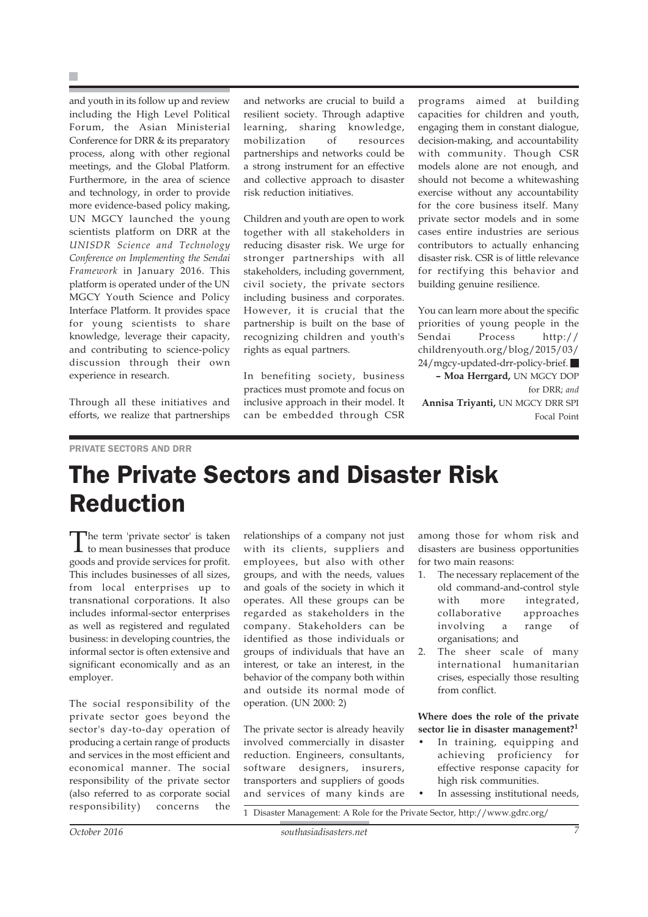and youth in its follow up and review including the High Level Political Forum, the Asian Ministerial Conference for DRR & its preparatory process, along with other regional meetings, and the Global Platform. Furthermore, in the area of science and technology, in order to provide more evidence-based policy making, UN MGCY launched the young scientists platform on DRR at the *UNISDR Science and Technology Conference on Implementing the Sendai Framework* in January 2016. This platform is operated under of the UN MGCY Youth Science and Policy Interface Platform. It provides space for young scientists to share knowledge, leverage their capacity, and contributing to science-policy discussion through their own experience in research.

Through all these initiatives and efforts, we realize that partnerships

and networks are crucial to build a resilient society. Through adaptive learning, sharing knowledge, mobilization of resources partnerships and networks could be a strong instrument for an effective and collective approach to disaster risk reduction initiatives.

Children and youth are open to work together with all stakeholders in reducing disaster risk. We urge for stronger partnerships with all stakeholders, including government, civil society, the private sectors including business and corporates. However, it is crucial that the partnership is built on the base of recognizing children and youth's rights as equal partners.

In benefiting society, business practices must promote and focus on inclusive approach in their model. It can be embedded through CSR programs aimed at building capacities for children and youth, engaging them in constant dialogue, decision-making, and accountability with community. Though CSR models alone are not enough, and should not become a whitewashing exercise without any accountability for the core business itself. Many private sector models and in some cases entire industries are serious contributors to actually enhancing disaster risk. CSR is of little relevance for rectifying this behavior and building genuine resilience.

You can learn more about the specific priorities of young people in the Sendai Process http:// childrenyouth.org/blog/2015/03/ 24/mgcy-updated-drr-policy-brief. **– Moa Herrgard,** UN MGCY DOP for DRR; *and*

**Annisa Triyanti,** UN MGCY DRR SPI Focal Point

#### PRIVATE SECTORS AND DRR

## The Private Sectors and Disaster Risk Reduction

The term 'private sector' is taken to mean businesses that produce goods and provide services for profit. This includes businesses of all sizes, from local enterprises up to transnational corporations. It also includes informal-sector enterprises as well as registered and regulated business: in developing countries, the informal sector is often extensive and significant economically and as an employer.

The social responsibility of the private sector goes beyond the sector's day-to-day operation of producing a certain range of products and services in the most efficient and economical manner. The social responsibility of the private sector (also referred to as corporate social responsibility) concerns the relationships of a company not just with its clients, suppliers and employees, but also with other groups, and with the needs, values and goals of the society in which it operates. All these groups can be regarded as stakeholders in the company. Stakeholders can be identified as those individuals or groups of individuals that have an interest, or take an interest, in the behavior of the company both within and outside its normal mode of operation. (UN 2000: 2)

The private sector is already heavily involved commercially in disaster reduction. Engineers, consultants, software designers, insurers, transporters and suppliers of goods and services of many kinds are among those for whom risk and disasters are business opportunities for two main reasons:

- 1. The necessary replacement of the old command-and-control style with more integrated, collaborative approaches involving a range of organisations; and
- 2. The sheer scale of many international humanitarian crises, especially those resulting from conflict.

**Where does the role of the private sector lie in disaster management?<sup>1</sup>**

- In training, equipping and achieving proficiency for effective response capacity for high risk communities.
- In assessing institutional needs,

1 Disaster Management: A Role for the Private Sector, http://www.gdrc.org/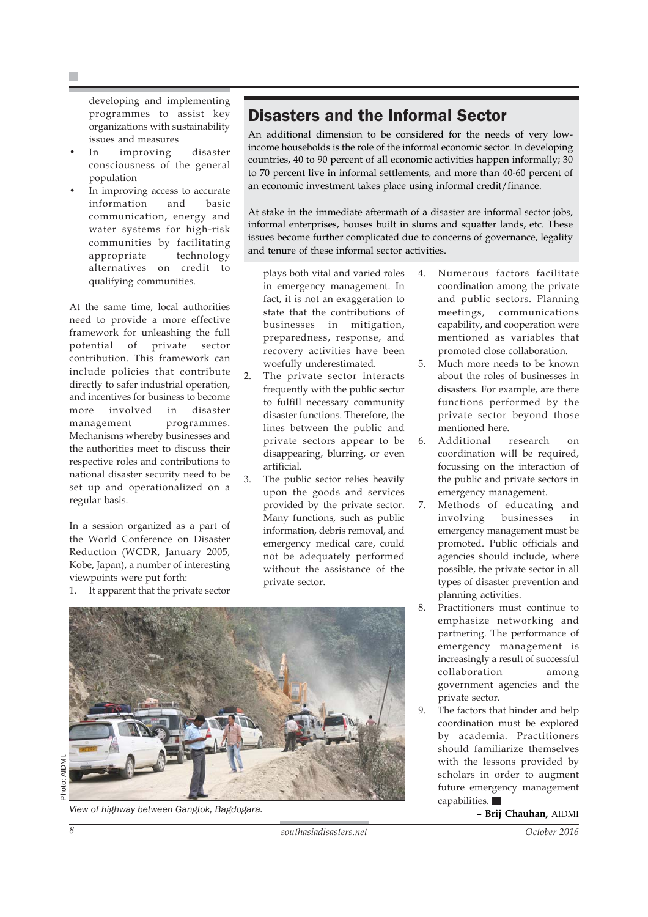developing and implementing programmes to assist key organizations with sustainability issues and measures

- In improving disaster consciousness of the general population
- In improving access to accurate information and basic communication, energy and water systems for high-risk communities by facilitating appropriate technology alternatives on credit to qualifying communities.

At the same time, local authorities need to provide a more effective framework for unleashing the full potential of private sector contribution. This framework can include policies that contribute directly to safer industrial operation, and incentives for business to become more involved in disaster management programmes. Mechanisms whereby businesses and the authorities meet to discuss their respective roles and contributions to national disaster security need to be set up and operationalized on a regular basis.

In a session organized as a part of the World Conference on Disaster Reduction (WCDR, January 2005, Kobe, Japan), a number of interesting viewpoints were put forth:

1. It apparent that the private sector

### Disasters and the Informal Sector

An additional dimension to be considered for the needs of very lowincome households is the role of the informal economic sector. In developing countries, 40 to 90 percent of all economic activities happen informally; 30 to 70 percent live in informal settlements, and more than 40-60 percent of an economic investment takes place using informal credit/finance.

At stake in the immediate aftermath of a disaster are informal sector jobs, informal enterprises, houses built in slums and squatter lands, etc. These issues become further complicated due to concerns of governance, legality and tenure of these informal sector activities.

- plays both vital and varied roles in emergency management. In fact, it is not an exaggeration to state that the contributions of businesses in mitigation, preparedness, response, and recovery activities have been woefully underestimated.
- 2. The private sector interacts frequently with the public sector to fulfill necessary community disaster functions. Therefore, the lines between the public and private sectors appear to be disappearing, blurring, or even artificial.
- 3. The public sector relies heavily upon the goods and services provided by the private sector. Many functions, such as public information, debris removal, and emergency medical care, could not be adequately performed without the assistance of the private sector.



**– Brij Chauhan,** AIDMI *View of highway between Gangtok, Bagdogara.*

4. Numerous factors facilitate coordination among the private and public sectors. Planning meetings, communications capability, and cooperation were mentioned as variables that promoted close collaboration.

- 5. Much more needs to be known about the roles of businesses in disasters. For example, are there functions performed by the private sector beyond those mentioned here.
- 6. Additional research on coordination will be required, focussing on the interaction of the public and private sectors in emergency management.
- 7. Methods of educating and involving businesses in emergency management must be promoted. Public officials and agencies should include, where possible, the private sector in all types of disaster prevention and planning activities.
- 8. Practitioners must continue to emphasize networking and partnering. The performance of emergency management is increasingly a result of successful collaboration among government agencies and the private sector.
- 9. The factors that hinder and help coordination must be explored by academia. Practitioners should familiarize themselves with the lessons provided by scholars in order to augment future emergency management capabilities.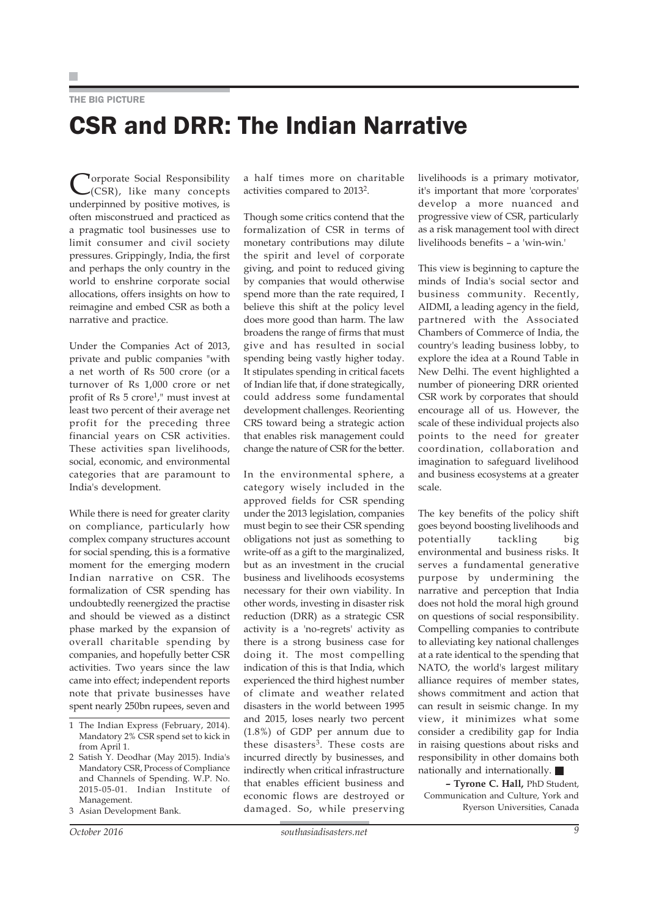### THE BIG PICTURE CSR and DRR: The Indian Narrative

**Torporate Social Responsibility** (CSR), like many concepts underpinned by positive motives, is often misconstrued and practiced as a pragmatic tool businesses use to limit consumer and civil society pressures. Grippingly, India, the first and perhaps the only country in the world to enshrine corporate social allocations, offers insights on how to reimagine and embed CSR as both a narrative and practice.

Under the Companies Act of 2013, private and public companies "with a net worth of Rs 500 crore (or a turnover of Rs 1,000 crore or net profit of Rs 5 crore1," must invest at least two percent of their average net profit for the preceding three financial years on CSR activities. These activities span livelihoods, social, economic, and environmental categories that are paramount to India's development.

While there is need for greater clarity on compliance, particularly how complex company structures account for social spending, this is a formative moment for the emerging modern Indian narrative on CSR. The formalization of CSR spending has undoubtedly reenergized the practise and should be viewed as a distinct phase marked by the expansion of overall charitable spending by companies, and hopefully better CSR activities. Two years since the law came into effect; independent reports note that private businesses have spent nearly 250bn rupees, seven and

3 Asian Development Bank.

a half times more on charitable activities compared to 20132.

Though some critics contend that the formalization of CSR in terms of monetary contributions may dilute the spirit and level of corporate giving, and point to reduced giving by companies that would otherwise spend more than the rate required, I believe this shift at the policy level does more good than harm. The law broadens the range of firms that must give and has resulted in social spending being vastly higher today. It stipulates spending in critical facets of Indian life that, if done strategically, could address some fundamental development challenges. Reorienting CRS toward being a strategic action that enables risk management could change the nature of CSR for the better.

In the environmental sphere, a category wisely included in the approved fields for CSR spending under the 2013 legislation, companies must begin to see their CSR spending obligations not just as something to write-off as a gift to the marginalized, but as an investment in the crucial business and livelihoods ecosystems necessary for their own viability. In other words, investing in disaster risk reduction (DRR) as a strategic CSR activity is a 'no-regrets' activity as there is a strong business case for doing it. The most compelling indication of this is that India, which experienced the third highest number of climate and weather related disasters in the world between 1995 and 2015, loses nearly two percent (1.8%) of GDP per annum due to these disasters<sup>3</sup>. These costs are incurred directly by businesses, and indirectly when critical infrastructure that enables efficient business and economic flows are destroyed or damaged. So, while preserving livelihoods is a primary motivator, it's important that more 'corporates' develop a more nuanced and progressive view of CSR, particularly as a risk management tool with direct livelihoods benefits – a 'win-win.'

This view is beginning to capture the minds of India's social sector and business community. Recently, AIDMI, a leading agency in the field, partnered with the Associated Chambers of Commerce of India, the country's leading business lobby, to explore the idea at a Round Table in New Delhi. The event highlighted a number of pioneering DRR oriented CSR work by corporates that should encourage all of us. However, the scale of these individual projects also points to the need for greater coordination, collaboration and imagination to safeguard livelihood and business ecosystems at a greater scale.

The key benefits of the policy shift goes beyond boosting livelihoods and potentially tackling big environmental and business risks. It serves a fundamental generative purpose by undermining the narrative and perception that India does not hold the moral high ground on questions of social responsibility. Compelling companies to contribute to alleviating key national challenges at a rate identical to the spending that NATO, the world's largest military alliance requires of member states, shows commitment and action that can result in seismic change. In my view, it minimizes what some consider a credibility gap for India in raising questions about risks and responsibility in other domains both nationally and internationally.

**– Tyrone C. Hall,** PhD Student, Communication and Culture, York and Ryerson Universities, Canada

<sup>1</sup> The Indian Express (February, 2014). Mandatory 2% CSR spend set to kick in from April 1.

<sup>2</sup> Satish Y. Deodhar (May 2015). India's Mandatory CSR, Process of Compliance and Channels of Spending. W.P. No. 2015-05-01. Indian Institute of Management.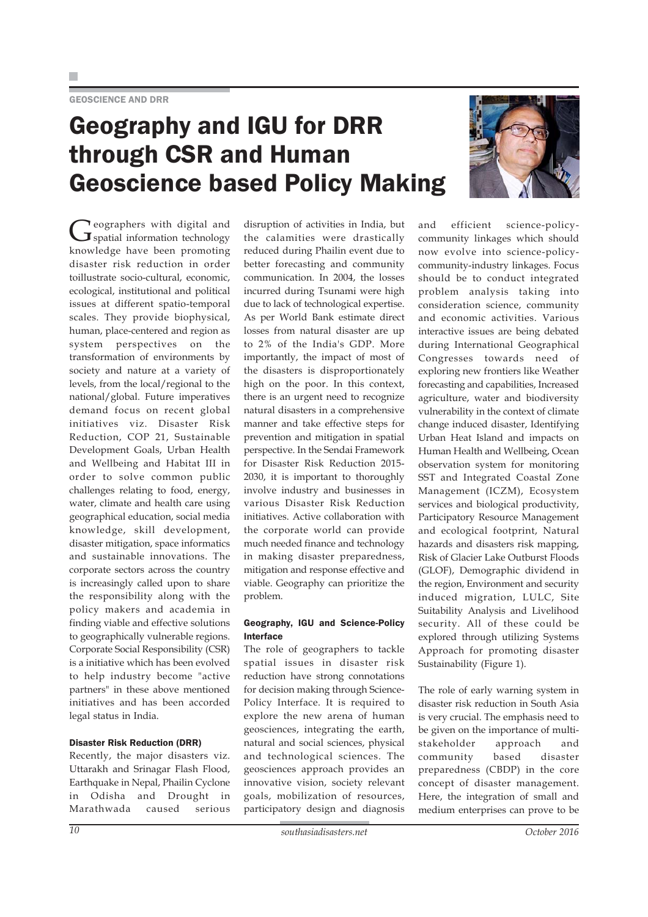## Geography and IGU for DRR through CSR and Human Geoscience based Policy Making



#### Disaster Risk Reduction (DRR)

Recently, the major disasters viz. Uttarakh and Srinagar Flash Flood, Earthquake in Nepal, Phailin Cyclone in Odisha and Drought in Marathwada caused serious disruption of activities in India, but the calamities were drastically reduced during Phailin event due to better forecasting and community communication. In 2004, the losses incurred during Tsunami were high due to lack of technological expertise. As per World Bank estimate direct losses from natural disaster are up to 2% of the India's GDP. More importantly, the impact of most of the disasters is disproportionately high on the poor. In this context, there is an urgent need to recognize natural disasters in a comprehensive manner and take effective steps for prevention and mitigation in spatial perspective. In the Sendai Framework for Disaster Risk Reduction 2015- 2030, it is important to thoroughly involve industry and businesses in various Disaster Risk Reduction initiatives. Active collaboration with the corporate world can provide much needed finance and technology in making disaster preparedness, mitigation and response effective and viable. Geography can prioritize the problem.

#### Geography, IGU and Science-Policy Interface

The role of geographers to tackle spatial issues in disaster risk reduction have strong connotations for decision making through Science-Policy Interface. It is required to explore the new arena of human geosciences, integrating the earth, natural and social sciences, physical and technological sciences. The geosciences approach provides an innovative vision, society relevant goals, mobilization of resources, participatory design and diagnosis



and efficient science-policycommunity linkages which should now evolve into science-policycommunity-industry linkages. Focus should be to conduct integrated problem analysis taking into consideration science, community and economic activities. Various interactive issues are being debated during International Geographical Congresses towards need of exploring new frontiers like Weather forecasting and capabilities, Increased agriculture, water and biodiversity vulnerability in the context of climate change induced disaster, Identifying Urban Heat Island and impacts on Human Health and Wellbeing, Ocean observation system for monitoring SST and Integrated Coastal Zone Management (ICZM), Ecosystem services and biological productivity, Participatory Resource Management and ecological footprint, Natural hazards and disasters risk mapping, Risk of Glacier Lake Outburst Floods (GLOF), Demographic dividend in the region, Environment and security induced migration, LULC, Site Suitability Analysis and Livelihood security. All of these could be explored through utilizing Systems Approach for promoting disaster Sustainability (Figure 1).

The role of early warning system in disaster risk reduction in South Asia is very crucial. The emphasis need to be given on the importance of multistakeholder approach and community based disaster preparedness (CBDP) in the core concept of disaster management. Here, the integration of small and medium enterprises can prove to be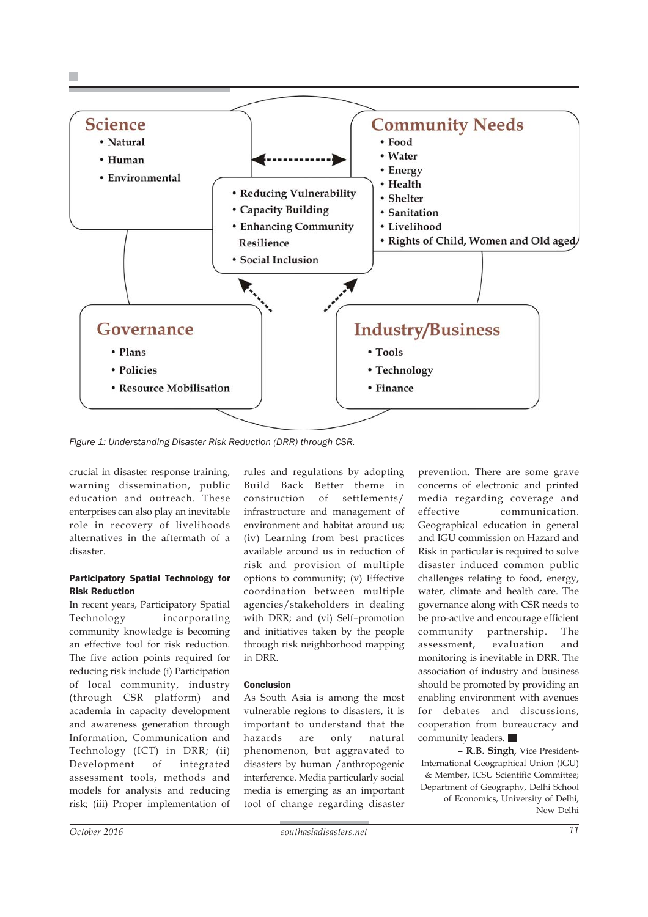

*Figure 1: Understanding Disaster Risk Reduction (DRR) through CSR.*

crucial in disaster response training, warning dissemination, public education and outreach. These enterprises can also play an inevitable role in recovery of livelihoods alternatives in the aftermath of a disaster.

#### Participatory Spatial Technology for Risk Reduction

In recent years, Participatory Spatial Technology incorporating community knowledge is becoming an effective tool for risk reduction. The five action points required for reducing risk include (i) Participation of local community, industry (through CSR platform) and academia in capacity development and awareness generation through Information, Communication and Technology (ICT) in DRR; (ii) Development of integrated assessment tools, methods and models for analysis and reducing risk; (iii) Proper implementation of

rules and regulations by adopting Build Back Better theme in construction of settlements/ infrastructure and management of environment and habitat around us; (iv) Learning from best practices available around us in reduction of risk and provision of multiple options to community; (v) Effective coordination between multiple agencies/stakeholders in dealing with DRR; and (vi) Self–promotion and initiatives taken by the people through risk neighborhood mapping in DRR.

#### Conclusion

As South Asia is among the most vulnerable regions to disasters, it is important to understand that the hazards are only natural phenomenon, but aggravated to disasters by human /anthropogenic interference. Media particularly social media is emerging as an important tool of change regarding disaster

prevention. There are some grave concerns of electronic and printed media regarding coverage and effective communication. Geographical education in general and IGU commission on Hazard and Risk in particular is required to solve disaster induced common public challenges relating to food, energy, water, climate and health care. The governance along with CSR needs to be pro-active and encourage efficient community partnership. The assessment, evaluation and monitoring is inevitable in DRR. The association of industry and business should be promoted by providing an enabling environment with avenues for debates and discussions, cooperation from bureaucracy and community leaders.

**– R.B. Singh,** Vice President-International Geographical Union (IGU) & Member, ICSU Scientific Committee; Department of Geography, Delhi School of Economics, University of Delhi, New Delhi